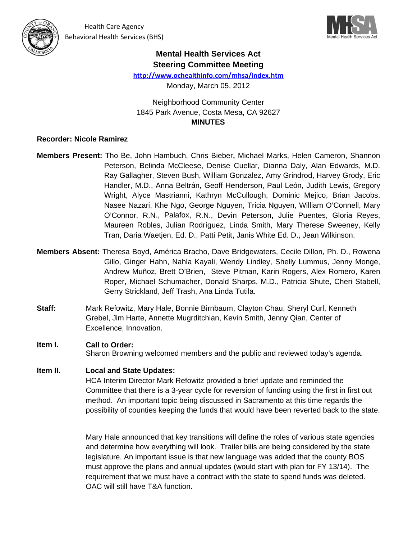



# **Mental Health Services Act Steering Committee Meeting**

http://www.ochealthinfo.com/mhsa/index.htm

Monday, March 05, 2012

**Neighborhood Community Center** 1845 Park Avenue, Costa Mesa, CA 92627 **MINUTES** 

### **Recorder: Nicole Ramirez**

- Members Present: Tho Be, John Hambuch, Chris Bieber, Michael Marks, Helen Cameron, Shannon Peterson, Belinda McCleese, Denise Cuellar, Dianna Daly, Alan Edwards, M.D. Ray Gallagher, Steven Bush, William Gonzalez, Amy Grindrod, Harvey Grody, Eric Handler, M.D., Anna Beltrán, Geoff Henderson, Paul León, Judith Lewis, Gregory Wright, Alyce Mastrianni, Kathryn McCullough, Dominic Mejico, Brian Jacobs, Nasee Nazari, Khe Ngo, George Nguyen, Tricia Nguyen, William O'Connell, Mary O'Connor, R.N., Palafox, R.N., Devin Peterson, Julie Puentes, Gloria Reyes, Maureen Robles, Julian Rodríguez, Linda Smith, Mary Therese Sweeney, Kelly Tran, Daria Waetjen, Ed. D., Patti Petit, Janis White Ed. D., Jean Wilkinson.
- Members Absent: Theresa Boyd, América Bracho, Dave Bridgewaters, Cecile Dillon, Ph. D., Rowena Gillo, Ginger Hahn, Nahla Kayali, Wendy Lindley, Shelly Lummus, Jenny Monge, Andrew Muñoz, Brett O'Brien, Steve Pitman, Karin Rogers, Alex Romero, Karen Roper, Michael Schumacher, Donald Sharps, M.D., Patricia Shute, Cheri Stabell, Gerry Strickland, Jeff Trash, Ana Linda Tutila.
- Staff: Mark Refowitz, Mary Hale, Bonnie Birnbaum, Clayton Chau, Sheryl Curl, Kenneth Grebel, Jim Harte, Annette Mugrditchian, Kevin Smith, Jenny Qian, Center of Excellence, Innovation.

### Item I. **Call to Order:**

Sharon Browning welcomed members and the public and reviewed today's agenda.

#### Item II. **Local and State Updates:**

HCA Interim Director Mark Refowitz provided a brief update and reminded the Committee that there is a 3-year cycle for reversion of funding using the first in first out method. An important topic being discussed in Sacramento at this time regards the possibility of counties keeping the funds that would have been reverted back to the state.

Mary Hale announced that key transitions will define the roles of various state agencies and determine how everything will look. Trailer bills are being considered by the state legislature. An important issue is that new language was added that the county BOS must approve the plans and annual updates (would start with plan for FY 13/14). The requirement that we must have a contract with the state to spend funds was deleted. OAC will still have T&A function.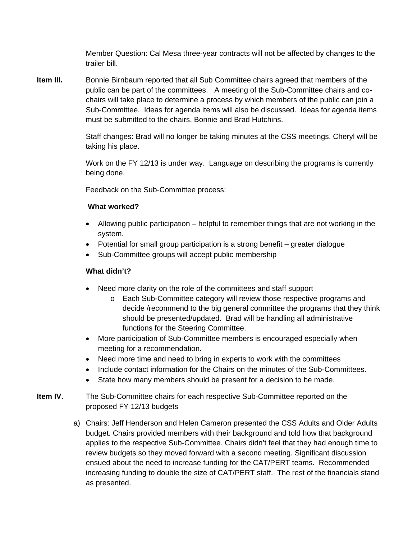Member Question: Cal Mesa three-year contracts will not be affected by changes to the trailer bill.

**Item III.** Bonnie Birnbaum reported that all Sub Committee chairs agreed that members of the public can be part of the committees. A meeting of the Sub-Committee chairs and cochairs will take place to determine a process by which members of the public can join a Sub-Committee. Ideas for agenda items will also be discussed. Ideas for agenda items must be submitted to the chairs, Bonnie and Brad Hutchins.

> Staff changes: Brad will no longer be taking minutes at the CSS meetings. Cheryl will be taking his place.

Work on the FY 12/13 is under way. Language on describing the programs is currently being done.

Feedback on the Sub-Committee process:

### **What worked?**

- Allowing public participation helpful to remember things that are not working in the system.
- Potential for small group participation is a strong benefit greater dialogue
- Sub-Committee groups will accept public membership

### **What didn't?**

- Need more clarity on the role of the committees and staff support
	- o Each Sub-Committee category will review those respective programs and decide /recommend to the big general committee the programs that they think should be presented/updated. Brad will be handling all administrative functions for the Steering Committee.
- More participation of Sub-Committee members is encouraged especially when meeting for a recommendation.
- Need more time and need to bring in experts to work with the committees
- Include contact information for the Chairs on the minutes of the Sub-Committees.
- State how many members should be present for a decision to be made.
- **Item IV.** The Sub-Committee chairs for each respective Sub-Committee reported on the proposed FY 12/13 budgets
	- a) Chairs: Jeff Henderson and Helen Cameron presented the CSS Adults and Older Adults budget. Chairs provided members with their background and told how that background applies to the respective Sub-Committee. Chairs didn't feel that they had enough time to review budgets so they moved forward with a second meeting. Significant discussion ensued about the need to increase funding for the CAT/PERT teams. Recommended increasing funding to double the size of CAT/PERT staff. The rest of the financials stand as presented.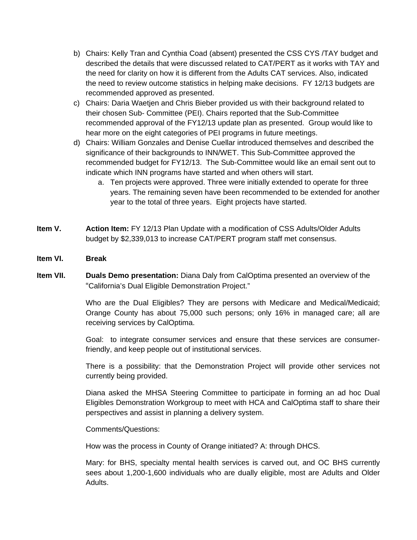- b) Chairs: Kelly Tran and Cynthia Coad (absent) presented the CSS CYS /TAY budget and described the details that were discussed related to CAT/PERT as it works with TAY and the need for clarity on how it is different from the Adults CAT services. Also, indicated the need to review outcome statistics in helping make decisions. FY 12/13 budgets are recommended approved as presented.
- c) Chairs: Daria Waetjen and Chris Bieber provided us with their background related to their chosen Sub- Committee (PEI). Chairs reported that the Sub-Committee recommended approval of the FY12/13 update plan as presented. Group would like to hear more on the eight categories of PEI programs in future meetings.
- d) Chairs: William Gonzales and Denise Cuellar introduced themselves and described the significance of their backgrounds to INN/WET. This Sub-Committee approved the recommended budget for FY12/13. The Sub-Committee would like an email sent out to indicate which INN programs have started and when others will start.
	- a. Ten projects were approved. Three were initially extended to operate for three years. The remaining seven have been recommended to be extended for another year to the total of three years. Eight projects have started.
- **Item V. Action Item:** FY 12/13 Plan Update with a modification of CSS Adults/Older Adults budget by \$2,339,013 to increase CAT/PERT program staff met consensus.
- **Item VI. Break**
- **Item VII. Duals Demo presentation:** Diana Daly from CalOptima presented an overview of the "California's Dual Eligible Demonstration Project."

Who are the Dual Eligibles? They are persons with Medicare and Medical/Medicaid; Orange County has about 75,000 such persons; only 16% in managed care; all are receiving services by CalOptima.

Goal: to integrate consumer services and ensure that these services are consumerfriendly, and keep people out of institutional services.

There is a possibility: that the Demonstration Project will provide other services not currently being provided.

Diana asked the MHSA Steering Committee to participate in forming an ad hoc Dual Eligibles Demonstration Workgroup to meet with HCA and CalOptima staff to share their perspectives and assist in planning a delivery system.

Comments/Questions:

How was the process in County of Orange initiated? A: through DHCS.

Mary: for BHS, specialty mental health services is carved out, and OC BHS currently sees about 1,200-1,600 individuals who are dually eligible, most are Adults and Older Adults.